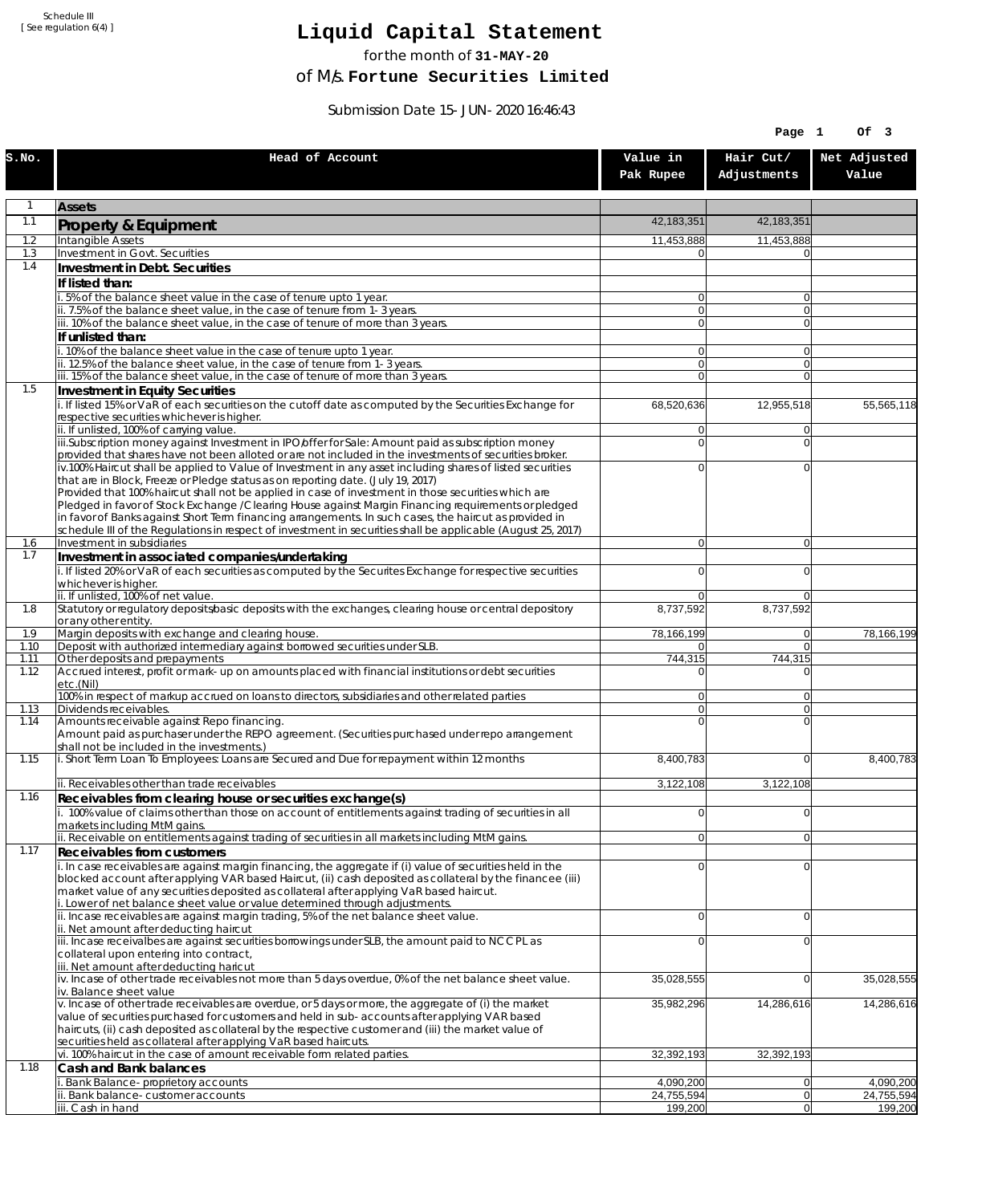Schedule III [ See regulation 6(4) ]

## **Liquid Capital Statement**

for the month of **31-MAY-20**

of M/s. **Fortune Securities Limited**

Submission Date 15-JUN-2020 16:46:43

|              |                                                                                                                                                                                                                        |                            | Page 1                     | Of 3                  |
|--------------|------------------------------------------------------------------------------------------------------------------------------------------------------------------------------------------------------------------------|----------------------------|----------------------------|-----------------------|
| S.NO.        | Head of Account                                                                                                                                                                                                        | Value in<br>Pak Rupee      | Hair Cut/<br>Adjustments   | Net Adjusted<br>Value |
| 1            | <b>Assets</b>                                                                                                                                                                                                          |                            |                            |                       |
| 1.1          | Property & Equipment                                                                                                                                                                                                   | 42,183,351                 | 42,183,351                 |                       |
| 1.2          | Intangible Assets                                                                                                                                                                                                      | 11,453,888                 | 11,453,888                 |                       |
| 1.3<br>1.4   | Investment in Govt. Securities<br>Investment in Debt. Securities                                                                                                                                                       | $\Omega$                   | $\Omega$                   |                       |
|              | If listed than:                                                                                                                                                                                                        |                            |                            |                       |
|              | i. 5% of the balance sheet value in the case of tenure upto 1 year.                                                                                                                                                    | $\Omega$                   | $\overline{0}$             |                       |
|              | ii. 7.5% of the balance sheet value, in the case of tenure from 1-3 years.                                                                                                                                             | $\overline{0}$             | $\overline{0}$             |                       |
|              | iii. 10% of the balance sheet value, in the case of tenure of more than 3 years.<br>If unlisted than:                                                                                                                  | $\Omega$                   | $\overline{0}$             |                       |
|              | i. 10% of the balance sheet value in the case of tenure upto 1 year.                                                                                                                                                   | $\Omega$                   | $\overline{0}$             |                       |
|              | ii. 12.5% of the balance sheet value, in the case of tenure from 1-3 years.                                                                                                                                            | $\overline{0}$             | $\overline{0}$             |                       |
| 1.5          | iii. 15% of the balance sheet value, in the case of tenure of more than 3 years.                                                                                                                                       | $\overline{0}$             | $\Omega$                   |                       |
|              | Investment in Equity Securities<br>i. If listed 15% or VaR of each securities on the cutoff date as computed by the Securities Exchange for                                                                            | 68,520,636                 | 12,955,518                 | 55,565,118            |
|              | respective securities whichever is higher.                                                                                                                                                                             |                            |                            |                       |
|              | ii. If unlisted, 100% of carrying value.<br>iii.Subscription money against Investment in IPO/offer for Sale: Amount paid as subscription money                                                                         | $\overline{0}$<br>$\Omega$ | 0 <br>$\Omega$             |                       |
|              | provided that shares have not been alloted or are not included in the investments of securities broker.                                                                                                                |                            |                            |                       |
|              | iv.100% Haircut shall be applied to Value of Investment in any asset including shares of listed securities                                                                                                             | $\Omega$                   | $\Omega$                   |                       |
|              | that are in Block, Freeze or Pledge status as on reporting date. (July 19, 2017)<br>Provided that 100% haircut shall not be applied in case of investment in those securities which are                                |                            |                            |                       |
|              | Pledged in favor of Stock Exchange / Clearing House against Margin Financing requirements or pledged                                                                                                                   |                            |                            |                       |
|              | in favor of Banks against Short Term financing arrangements. In such cases, the haircut as provided in<br>schedule III of the Regulations in respect of investment in securities shall be applicable (August 25, 2017) |                            |                            |                       |
| 1.6          | Investment in subsidiaries                                                                                                                                                                                             | $\Omega$                   | $\overline{0}$             |                       |
| 1.7          | Investment in associated companies/undertaking                                                                                                                                                                         |                            |                            |                       |
|              | i. If listed 20% or VaR of each securities as computed by the Securites Exchange for respective securities                                                                                                             | $\Omega$                   | $\Omega$                   |                       |
|              | whichever is higher.<br>ii. If unlisted, 100% of net value.                                                                                                                                                            | $\Omega$                   | $\Omega$                   |                       |
| 1.8          | Statutory or regulatory deposits/basic deposits with the exchanges, clearing house or central depository                                                                                                               | 8,737,592                  | 8,737,592                  |                       |
| 1.9          | or any other entity.<br>Margin deposits with exchange and clearing house.                                                                                                                                              | 78,166,199                 | $\overline{0}$             | 78,166,199            |
| 1.10         | Deposit with authorized intermediary against borrowed securities under SLB.                                                                                                                                            | $\overline{0}$             | $\overline{0}$             |                       |
| 1.11<br>1.12 | Other deposits and prepayments<br>Accrued interest, profit or mark-up on amounts placed with financial institutions or debt securities                                                                                 | 744,315<br>$\Omega$        | 744,315<br>$\Omega$        |                       |
|              | etc.(Nil)                                                                                                                                                                                                              |                            |                            |                       |
|              | 100% in respect of markup accrued on loans to directors, subsidiaries and other related parties                                                                                                                        | $\overline{0}$             | $\Omega$                   |                       |
| 1.13<br>1.14 | Dividends receivables.<br>Amounts receivable against Repo financing.                                                                                                                                                   | $\overline{0}$<br>$\Omega$ | $\overline{0}$<br>$\Omega$ |                       |
|              | Amount paid as purchaser under the REPO agreement. (Securities purchased under repo arrangement                                                                                                                        |                            |                            |                       |
| 1.15         | shall not be included in the investments.)<br>i. Short Term Loan To Employees: Loans are Secured and Due for repayment within 12 months                                                                                | 8,400,783                  | $\Omega$                   | 8,400,783             |
|              | ii. Receivables other than trade receivables                                                                                                                                                                           |                            |                            |                       |
| 1.16         | Receivables from clearing house or securities exchange(s)                                                                                                                                                              | 3,122,108                  | 3,122,108                  |                       |
|              | i. 100% value of claims other than those on account of entitlements against trading of securities in all                                                                                                               | $\overline{0}$             | $\overline{0}$             |                       |
|              | markets including MtM gains.<br>ii. Receivable on entitlements against trading of securities in all markets including MtM gains.                                                                                       |                            |                            |                       |
| 1.17         | Receivables from customers                                                                                                                                                                                             | $\overline{0}$             | $\overline{0}$             |                       |
|              | i. In case receivables are against margin financing, the aggregate if (i) value of securities held in the                                                                                                              | $\Omega$                   | $\Omega$                   |                       |
|              | blocked account after applying VAR based Haircut, (ii) cash deposited as collateral by the financee (iii)                                                                                                              |                            |                            |                       |
|              | market value of any securities deposited as collateral after applying VaR based haircut.<br>i. Lower of net balance sheet value or value determined through adjustments.                                               |                            |                            |                       |
|              | ii. Incase receivables are against margin trading, 5% of the net balance sheet value.                                                                                                                                  | $\Omega$                   | $\overline{0}$             |                       |
|              | ii. Net amount after deducting haircut<br>iii. Incase receivalbes are against securities borrowings under SLB, the amount paid to NCCPL as                                                                             | $\Omega$                   | 0                          |                       |
|              | collateral upon entering into contract,                                                                                                                                                                                |                            |                            |                       |
|              | iii. Net amount after deducting haricut                                                                                                                                                                                |                            |                            |                       |
|              | iv. Incase of other trade receivables not more than 5 days overdue, 0% of the net balance sheet value.<br>iv. Balance sheet value                                                                                      | 35,028,555                 | $\overline{0}$             | 35,028,555            |
|              | v. Incase of other trade receivables are overdue, or 5 days or more, the aggregate of (i) the market                                                                                                                   | 35,982,296                 | 14,286,616                 | 14,286,616            |
|              | value of securities purchased for customers and held in sub-accounts after applying VAR based<br>haircuts, (ii) cash deposited as collateral by the respective customer and (iii) the market value of                  |                            |                            |                       |
|              | securities held as collateral after applying VaR based haircuts.                                                                                                                                                       |                            |                            |                       |
|              | vi. 100% haircut in the case of amount receivable form related parties.                                                                                                                                                | 32,392,193                 | 32,392,193                 |                       |
| 1.18         | Cash and Bank balances<br>i. Bank Balance-proprietory accounts                                                                                                                                                         | 4,090,200                  | 0                          | 4,090,200             |
|              | ii. Bank balance-customer accounts                                                                                                                                                                                     | 24,755,594                 | $\overline{0}$             | 24,755,594            |
|              | iii. Cash in hand                                                                                                                                                                                                      | 199,200                    | 0                          | 199,200               |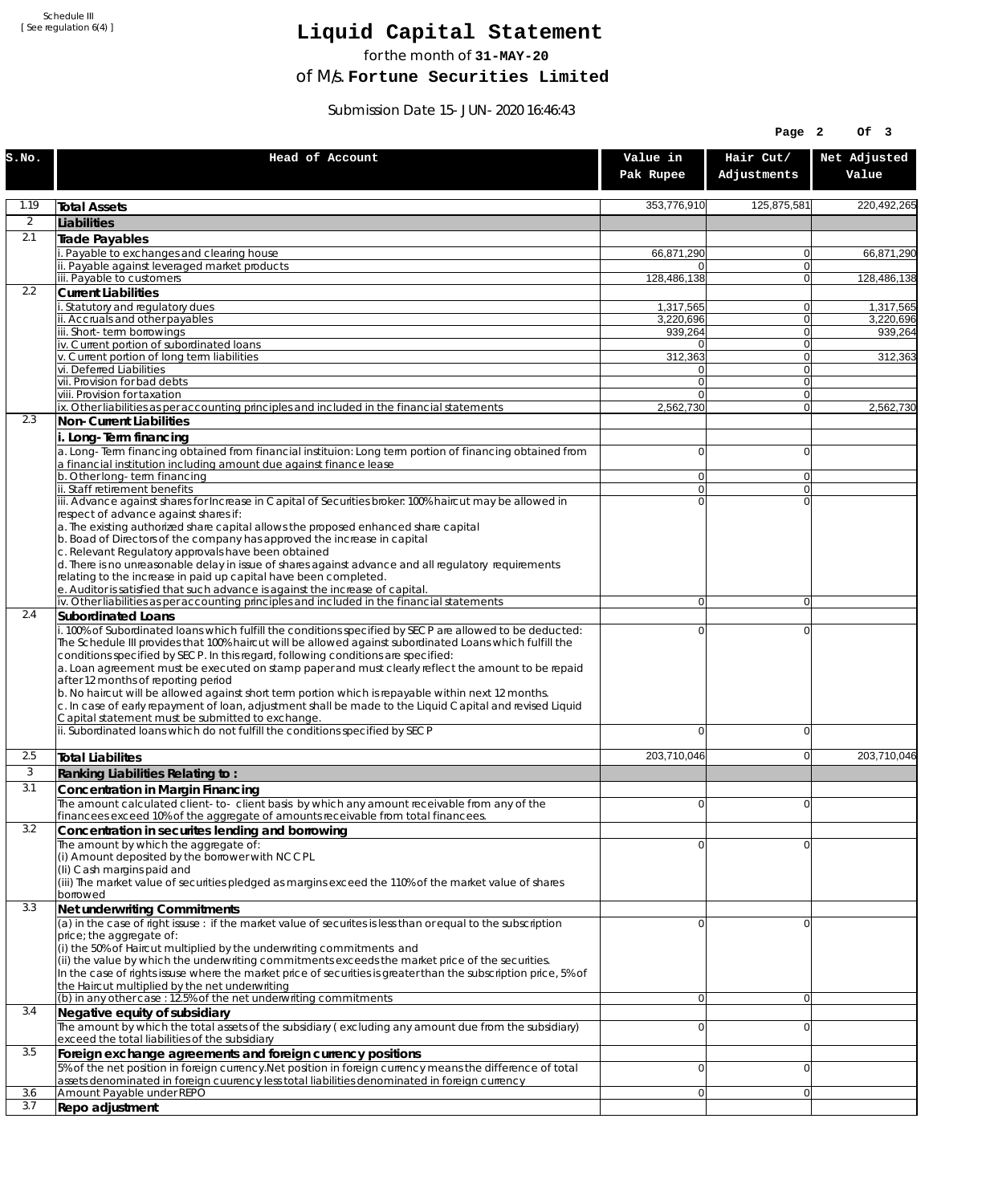Schedule III [ See regulation 6(4) ]

## **Liquid Capital Statement**

for the month of **31-MAY-20**

of M/s. **Fortune Securities Limited**

Submission Date 15-JUN-2020 16:46:43

|                |                                                                                                                                                                                                                                                                                                                                                                                                                                                                                                                                                                                                                                                                                                                             |                            | Page 2                   | OF <sub>3</sub>       |
|----------------|-----------------------------------------------------------------------------------------------------------------------------------------------------------------------------------------------------------------------------------------------------------------------------------------------------------------------------------------------------------------------------------------------------------------------------------------------------------------------------------------------------------------------------------------------------------------------------------------------------------------------------------------------------------------------------------------------------------------------------|----------------------------|--------------------------|-----------------------|
| S.NO.          | Head of Account                                                                                                                                                                                                                                                                                                                                                                                                                                                                                                                                                                                                                                                                                                             | Value in<br>Pak Rupee      | Hair Cut/<br>Adjustments | Net Adjusted<br>Value |
| 1.19           | <b>Total Assets</b>                                                                                                                                                                                                                                                                                                                                                                                                                                                                                                                                                                                                                                                                                                         | 353,776,910                | 125,875,581              | 220,492,265           |
| $\overline{2}$ | Liabilities                                                                                                                                                                                                                                                                                                                                                                                                                                                                                                                                                                                                                                                                                                                 |                            |                          |                       |
| 2.1            | Trade Payables                                                                                                                                                                                                                                                                                                                                                                                                                                                                                                                                                                                                                                                                                                              |                            |                          |                       |
|                | Payable to exchanges and clearing house                                                                                                                                                                                                                                                                                                                                                                                                                                                                                                                                                                                                                                                                                     | 66,871,290                 | 0                        | 66,871,290            |
|                | ii. Payable against leveraged market products<br>iii. Payable to customers                                                                                                                                                                                                                                                                                                                                                                                                                                                                                                                                                                                                                                                  | 0<br>128,486,138           | $\mathbf{0}$<br>0        | 128,486,138           |
| 2.2            | <b>Current Liabilities</b>                                                                                                                                                                                                                                                                                                                                                                                                                                                                                                                                                                                                                                                                                                  |                            |                          |                       |
|                | . Statutory and regulatory dues                                                                                                                                                                                                                                                                                                                                                                                                                                                                                                                                                                                                                                                                                             | 1,317,565                  | 0                        | 1,317,565             |
|                | ii. Accruals and other payables<br>iii. Short-term borrowinas                                                                                                                                                                                                                                                                                                                                                                                                                                                                                                                                                                                                                                                               | 3.220.696<br>939,264       | $\mathbf{0}$<br>0        | 3,220,696<br>939,264  |
|                | iv. Current portion of subordinated loans                                                                                                                                                                                                                                                                                                                                                                                                                                                                                                                                                                                                                                                                                   | $\overline{0}$             | 0                        |                       |
|                | v. Current portion of long term liabilities                                                                                                                                                                                                                                                                                                                                                                                                                                                                                                                                                                                                                                                                                 | 312,363                    | $\mathbf{0}$             | 312,363               |
|                | vi. Deferred Liabilities<br>vii. Provision for bad debts                                                                                                                                                                                                                                                                                                                                                                                                                                                                                                                                                                                                                                                                    | 0<br>$\overline{0}$        | 0<br>$\mathbf{0}$        |                       |
|                | viii. Provision for taxation                                                                                                                                                                                                                                                                                                                                                                                                                                                                                                                                                                                                                                                                                                | $\Omega$                   | 0                        |                       |
|                | ix. Other liabilities as per accounting principles and included in the financial statements                                                                                                                                                                                                                                                                                                                                                                                                                                                                                                                                                                                                                                 | 2,562,730                  | $\overline{0}$           | 2,562,730             |
| 2.3            | Non-Current Liabilities                                                                                                                                                                                                                                                                                                                                                                                                                                                                                                                                                                                                                                                                                                     |                            |                          |                       |
|                | i. Long-Term financing<br>a. Long-Term financing obtained from financial instituion: Long term portion of financing obtained from<br>a financial institution including amount due against finance lease                                                                                                                                                                                                                                                                                                                                                                                                                                                                                                                     | $\overline{0}$             | 0                        |                       |
|                | b. Other long-term financing<br>ii. Staff retirement benefits                                                                                                                                                                                                                                                                                                                                                                                                                                                                                                                                                                                                                                                               | $\overline{0}$             | $\mathbf{0}$             |                       |
|                | iii. Advance against shares for Increase in Capital of Securities broker: 100% haircut may be allowed in                                                                                                                                                                                                                                                                                                                                                                                                                                                                                                                                                                                                                    | $\overline{0}$<br>$\Omega$ | 0<br>$\Omega$            |                       |
|                | respect of advance against shares if:<br>a. The existing authorized share capital allows the proposed enhanced share capital<br>b. Boad of Directors of the company has approved the increase in capital<br>c. Relevant Regulatory approvals have been obtained<br>d. There is no unreasonable delay in issue of shares against advance and all regulatory requirements<br>relating to the increase in paid up capital have been completed.<br>e. Auditor is satisfied that such advance is against the increase of capital.                                                                                                                                                                                                |                            |                          |                       |
|                | iv. Other liabilities as per accounting principles and included in the financial statements                                                                                                                                                                                                                                                                                                                                                                                                                                                                                                                                                                                                                                 | $\overline{0}$             | $\overline{0}$           |                       |
| 2.4            | <b>Subordinated Loans</b>                                                                                                                                                                                                                                                                                                                                                                                                                                                                                                                                                                                                                                                                                                   |                            |                          |                       |
|                | . 100% of Subordinated loans which fulfill the conditions specified by SECP are allowed to be deducted:<br>The Schedule III provides that 100% haircut will be allowed against subordinated Loans which fulfill the<br>conditions specified by SECP. In this regard, following conditions are specified:<br>a. Loan agreement must be executed on stamp paper and must clearly reflect the amount to be repaid<br>after 12 months of reporting period<br>b. No haircut will be allowed against short term portion which is repayable within next 12 months.<br>c. In case of early repayment of loan, adjustment shall be made to the Liquid Capital and revised Liquid<br>Capital statement must be submitted to exchange. | 0                          | 0                        |                       |
|                | ii. Subordinated loans which do not fulfill the conditions specified by SECP                                                                                                                                                                                                                                                                                                                                                                                                                                                                                                                                                                                                                                                | 0                          | 0                        |                       |
| 2.5            | <b>Total Liabilites</b>                                                                                                                                                                                                                                                                                                                                                                                                                                                                                                                                                                                                                                                                                                     | 203,710,046                | 0                        | 203.710.046           |
| 3              | Ranking Liabilities Relating to:                                                                                                                                                                                                                                                                                                                                                                                                                                                                                                                                                                                                                                                                                            |                            |                          |                       |
| 3.1            | Concentration in Margin Financing                                                                                                                                                                                                                                                                                                                                                                                                                                                                                                                                                                                                                                                                                           |                            |                          |                       |
|                | The amount calculated client-to- client basis by which any amount receivable from any of the                                                                                                                                                                                                                                                                                                                                                                                                                                                                                                                                                                                                                                | ΩI                         | $\Omega$                 |                       |
| 3.2            | financees exceed 10% of the aggregate of amounts receivable from total financees.<br>Concentration in securites lending and borrowing                                                                                                                                                                                                                                                                                                                                                                                                                                                                                                                                                                                       |                            |                          |                       |
|                | The amount by which the aggregate of:                                                                                                                                                                                                                                                                                                                                                                                                                                                                                                                                                                                                                                                                                       | 0                          | 0                        |                       |
|                | (i) Amount deposited by the borrower with NCCPL<br>(Ii) Cash margins paid and<br>(iii) The market value of securities pledged as margins exceed the 110% of the market value of shares<br>borrowed                                                                                                                                                                                                                                                                                                                                                                                                                                                                                                                          |                            |                          |                       |
| 3.3            | Net underwriting Commitments                                                                                                                                                                                                                                                                                                                                                                                                                                                                                                                                                                                                                                                                                                |                            |                          |                       |
|                | (a) in the case of right issuse : if the market value of securites is less than or equal to the subscription<br>price; the aggregate of:<br>(i) the 50% of Haircut multiplied by the underwriting commitments and<br>(ii) the value by which the underwriting commitments exceeds the market price of the securities.<br>In the case of rights issuse where the market price of securities is greater than the subscription price, 5% of<br>the Haircut multiplied by the net underwriting                                                                                                                                                                                                                                  | 0                          | 0                        |                       |
| 3.4            | (b) in any other case: 12.5% of the net underwriting commitments                                                                                                                                                                                                                                                                                                                                                                                                                                                                                                                                                                                                                                                            | 0                          | 0                        |                       |
|                | Negative equity of subsidiary<br>The amount by which the total assets of the subsidiary (excluding any amount due from the subsidiary)                                                                                                                                                                                                                                                                                                                                                                                                                                                                                                                                                                                      | $\overline{0}$             | 0                        |                       |
| 3.5            | exceed the total liabilities of the subsidiary<br>Foreign exchange agreements and foreign currency positions                                                                                                                                                                                                                                                                                                                                                                                                                                                                                                                                                                                                                |                            |                          |                       |
|                | 5% of the net position in foreign currency. Net position in foreign currency means the difference of total                                                                                                                                                                                                                                                                                                                                                                                                                                                                                                                                                                                                                  | 0                          | 0                        |                       |
|                | assets denominated in foreign cuurency less total liabilities denominated in foreign currency                                                                                                                                                                                                                                                                                                                                                                                                                                                                                                                                                                                                                               |                            |                          |                       |
| 3.6<br>3.7     | Amount Payable under REPO                                                                                                                                                                                                                                                                                                                                                                                                                                                                                                                                                                                                                                                                                                   | 0                          | 0                        |                       |
|                | Repo adjustment                                                                                                                                                                                                                                                                                                                                                                                                                                                                                                                                                                                                                                                                                                             |                            |                          |                       |